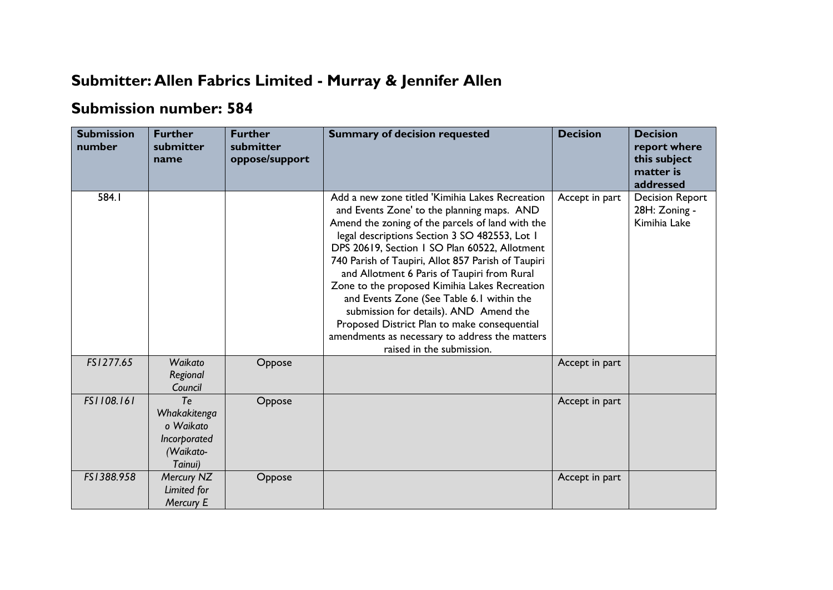## **Submitter: Allen Fabrics Limited - Murray & Jennifer Allen**

## **Submission number: 584**

| <b>Submission</b><br>number | <b>Further</b><br>submitter<br>name                                     | <b>Further</b><br>submitter<br>oppose/support | <b>Summary of decision requested</b>                                                                                                                                                                                                                                                                                                                                                                                                                                                                                                                                                                                            | <b>Decision</b> | <b>Decision</b><br>report where<br>this subject<br>matter is<br>addressed |
|-----------------------------|-------------------------------------------------------------------------|-----------------------------------------------|---------------------------------------------------------------------------------------------------------------------------------------------------------------------------------------------------------------------------------------------------------------------------------------------------------------------------------------------------------------------------------------------------------------------------------------------------------------------------------------------------------------------------------------------------------------------------------------------------------------------------------|-----------------|---------------------------------------------------------------------------|
| 584.1                       |                                                                         |                                               | Add a new zone titled 'Kimihia Lakes Recreation<br>and Events Zone' to the planning maps. AND<br>Amend the zoning of the parcels of land with the<br>legal descriptions Section 3 SO 482553, Lot I<br>DPS 20619, Section 1 SO Plan 60522, Allotment<br>740 Parish of Taupiri, Allot 857 Parish of Taupiri<br>and Allotment 6 Paris of Taupiri from Rural<br>Zone to the proposed Kimihia Lakes Recreation<br>and Events Zone (See Table 6.1 within the<br>submission for details). AND Amend the<br>Proposed District Plan to make consequential<br>amendments as necessary to address the matters<br>raised in the submission. | Accept in part  | <b>Decision Report</b><br>28H: Zoning -<br>Kimihia Lake                   |
| FS1277.65                   | Waikato<br>Regional<br>Council                                          | Oppose                                        |                                                                                                                                                                                                                                                                                                                                                                                                                                                                                                                                                                                                                                 | Accept in part  |                                                                           |
| FS1108.161                  | Te<br>Whakakitenga<br>o Waikato<br>Incorporated<br>(Waikato-<br>Tainui) | Oppose                                        |                                                                                                                                                                                                                                                                                                                                                                                                                                                                                                                                                                                                                                 | Accept in part  |                                                                           |
| FS1388.958                  | Mercury NZ<br>Limited for<br>Mercury E                                  | Oppose                                        |                                                                                                                                                                                                                                                                                                                                                                                                                                                                                                                                                                                                                                 | Accept in part  |                                                                           |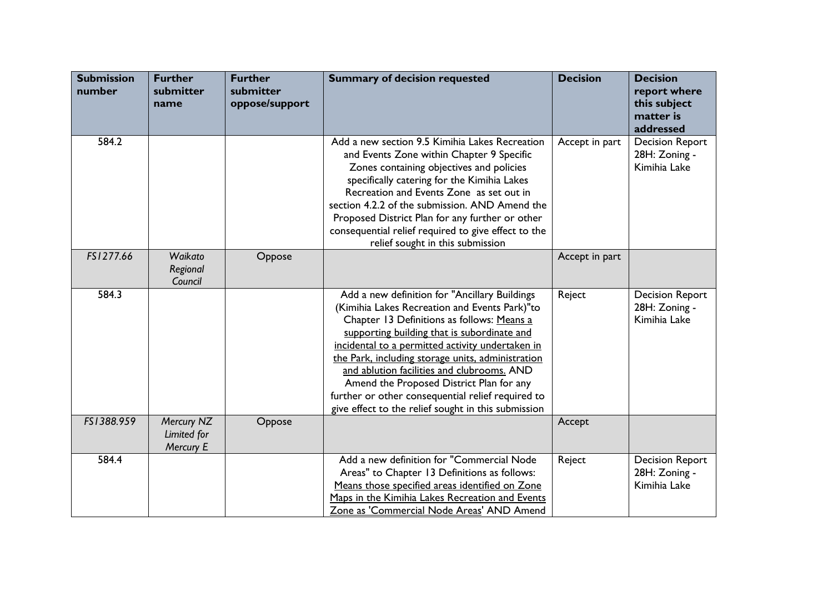| <b>Submission</b><br>number | <b>Further</b><br>submitter<br>name    | <b>Further</b><br>submitter<br>oppose/support | <b>Summary of decision requested</b>                                                                                                                                                                                                                                                                                                                                                                                                                                                                       | <b>Decision</b> | <b>Decision</b><br>report where<br>this subject<br>matter is<br>addressed |
|-----------------------------|----------------------------------------|-----------------------------------------------|------------------------------------------------------------------------------------------------------------------------------------------------------------------------------------------------------------------------------------------------------------------------------------------------------------------------------------------------------------------------------------------------------------------------------------------------------------------------------------------------------------|-----------------|---------------------------------------------------------------------------|
| 584.2                       |                                        |                                               | Add a new section 9.5 Kimihia Lakes Recreation<br>and Events Zone within Chapter 9 Specific<br>Zones containing objectives and policies<br>specifically catering for the Kimihia Lakes<br>Recreation and Events Zone as set out in<br>section 4.2.2 of the submission. AND Amend the<br>Proposed District Plan for any further or other<br>consequential relief required to give effect to the<br>relief sought in this submission                                                                         | Accept in part  | <b>Decision Report</b><br>28H: Zoning -<br>Kimihia Lake                   |
| FS1277.66                   | Waikato<br>Regional<br>Council         | Oppose                                        |                                                                                                                                                                                                                                                                                                                                                                                                                                                                                                            | Accept in part  |                                                                           |
| 584.3                       |                                        |                                               | Add a new definition for "Ancillary Buildings<br>(Kimihia Lakes Recreation and Events Park)"to<br>Chapter 13 Definitions as follows: Means a<br>supporting building that is subordinate and<br>incidental to a permitted activity undertaken in<br>the Park, including storage units, administration<br>and ablution facilities and clubrooms. AND<br>Amend the Proposed District Plan for any<br>further or other consequential relief required to<br>give effect to the relief sought in this submission | Reject          | <b>Decision Report</b><br>28H: Zoning -<br>Kimihia Lake                   |
| FS1388.959                  | Mercury NZ<br>Limited for<br>Mercury E | Oppose                                        |                                                                                                                                                                                                                                                                                                                                                                                                                                                                                                            | Accept          |                                                                           |
| 584.4                       |                                        |                                               | Add a new definition for "Commercial Node<br>Areas" to Chapter 13 Definitions as follows:<br>Means those specified areas identified on Zone<br>Maps in the Kimihia Lakes Recreation and Events<br>Zone as 'Commercial Node Areas' AND Amend                                                                                                                                                                                                                                                                | Reject          | <b>Decision Report</b><br>28H: Zoning -<br>Kimihia Lake                   |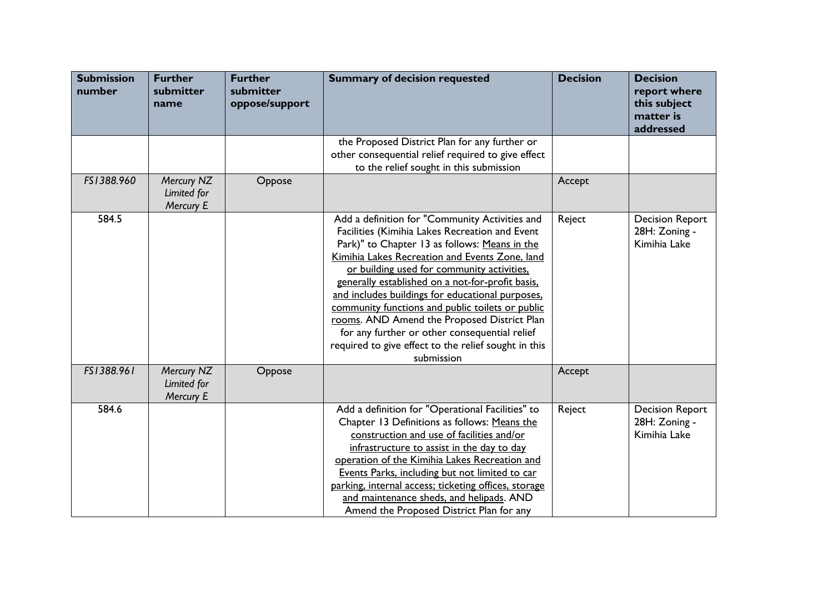| <b>Submission</b><br>number | <b>Further</b><br>submitter<br>name    | <b>Further</b><br>submitter<br>oppose/support | <b>Summary of decision requested</b>                                                                                                                                                                                                                                                                                                                                                                                                                                                                                                                                                | <b>Decision</b> | <b>Decision</b><br>report where<br>this subject<br>matter is<br>addressed |
|-----------------------------|----------------------------------------|-----------------------------------------------|-------------------------------------------------------------------------------------------------------------------------------------------------------------------------------------------------------------------------------------------------------------------------------------------------------------------------------------------------------------------------------------------------------------------------------------------------------------------------------------------------------------------------------------------------------------------------------------|-----------------|---------------------------------------------------------------------------|
|                             |                                        |                                               | the Proposed District Plan for any further or<br>other consequential relief required to give effect<br>to the relief sought in this submission                                                                                                                                                                                                                                                                                                                                                                                                                                      |                 |                                                                           |
| FS1388.960                  | Mercury NZ<br>Limited for<br>Mercury E | Oppose                                        |                                                                                                                                                                                                                                                                                                                                                                                                                                                                                                                                                                                     | Accept          |                                                                           |
| 584.5                       |                                        |                                               | Add a definition for "Community Activities and<br>Facilities (Kimihia Lakes Recreation and Event<br>Park)" to Chapter 13 as follows: Means in the<br>Kimihia Lakes Recreation and Events Zone, land<br>or building used for community activities.<br>generally established on a not-for-profit basis,<br>and includes buildings for educational purposes,<br>community functions and public toilets or public<br>rooms. AND Amend the Proposed District Plan<br>for any further or other consequential relief<br>required to give effect to the relief sought in this<br>submission | Reject          | <b>Decision Report</b><br>28H: Zoning -<br>Kimihia Lake                   |
| FS1388.961                  | Mercury NZ<br>Limited for<br>Mercury E | Oppose                                        |                                                                                                                                                                                                                                                                                                                                                                                                                                                                                                                                                                                     | Accept          |                                                                           |
| 584.6                       |                                        |                                               | Add a definition for "Operational Facilities" to<br>Chapter 13 Definitions as follows: Means the<br>construction and use of facilities and/or<br>infrastructure to assist in the day to day<br>operation of the Kimihia Lakes Recreation and<br>Events Parks, including but not limited to car<br>parking, internal access; ticketing offices, storage<br>and maintenance sheds, and helipads. AND<br>Amend the Proposed District Plan for any                                                                                                                                      | Reject          | <b>Decision Report</b><br>28H: Zoning -<br>Kimihia Lake                   |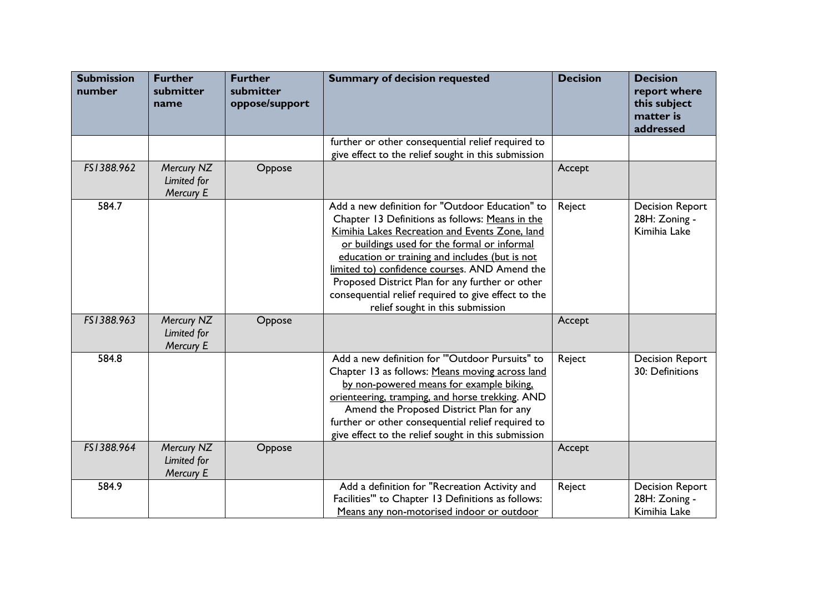| <b>Submission</b><br>number | <b>Further</b><br>submitter<br>name    | <b>Further</b><br>submitter<br>oppose/support | <b>Summary of decision requested</b>                                                                                                                                                                                                                                                                                                                                                                                                                  | <b>Decision</b> | <b>Decision</b><br>report where<br>this subject<br>matter is<br>addressed |
|-----------------------------|----------------------------------------|-----------------------------------------------|-------------------------------------------------------------------------------------------------------------------------------------------------------------------------------------------------------------------------------------------------------------------------------------------------------------------------------------------------------------------------------------------------------------------------------------------------------|-----------------|---------------------------------------------------------------------------|
|                             |                                        |                                               | further or other consequential relief required to<br>give effect to the relief sought in this submission                                                                                                                                                                                                                                                                                                                                              |                 |                                                                           |
| FS1388.962                  | Mercury NZ<br>Limited for<br>Mercury E | Oppose                                        |                                                                                                                                                                                                                                                                                                                                                                                                                                                       | Accept          |                                                                           |
| 584.7                       |                                        |                                               | Add a new definition for "Outdoor Education" to<br>Chapter 13 Definitions as follows: Means in the<br>Kimihia Lakes Recreation and Events Zone, land<br>or buildings used for the formal or informal<br>education or training and includes (but is not<br>limited to) confidence courses. AND Amend the<br>Proposed District Plan for any further or other<br>consequential relief required to give effect to the<br>relief sought in this submission | Reject          | <b>Decision Report</b><br>28H: Zoning -<br>Kimihia Lake                   |
| FS1388.963                  | Mercury NZ<br>Limited for<br>Mercury E | Oppose                                        |                                                                                                                                                                                                                                                                                                                                                                                                                                                       | Accept          |                                                                           |
| 584.8                       |                                        |                                               | Add a new definition for "Outdoor Pursuits" to<br>Chapter 13 as follows: Means moving across land<br>by non-powered means for example biking,<br>orienteering, tramping, and horse trekking. AND<br>Amend the Proposed District Plan for any<br>further or other consequential relief required to<br>give effect to the relief sought in this submission                                                                                              | Reject          | <b>Decision Report</b><br>30: Definitions                                 |
| FS1388.964                  | Mercury NZ<br>Limited for<br>Mercury E | Oppose                                        |                                                                                                                                                                                                                                                                                                                                                                                                                                                       | Accept          |                                                                           |
| 584.9                       |                                        |                                               | Add a definition for "Recreation Activity and<br>Facilities" to Chapter 13 Definitions as follows:<br>Means any non-motorised indoor or outdoor                                                                                                                                                                                                                                                                                                       | Reject          | <b>Decision Report</b><br>28H: Zoning -<br>Kimihia Lake                   |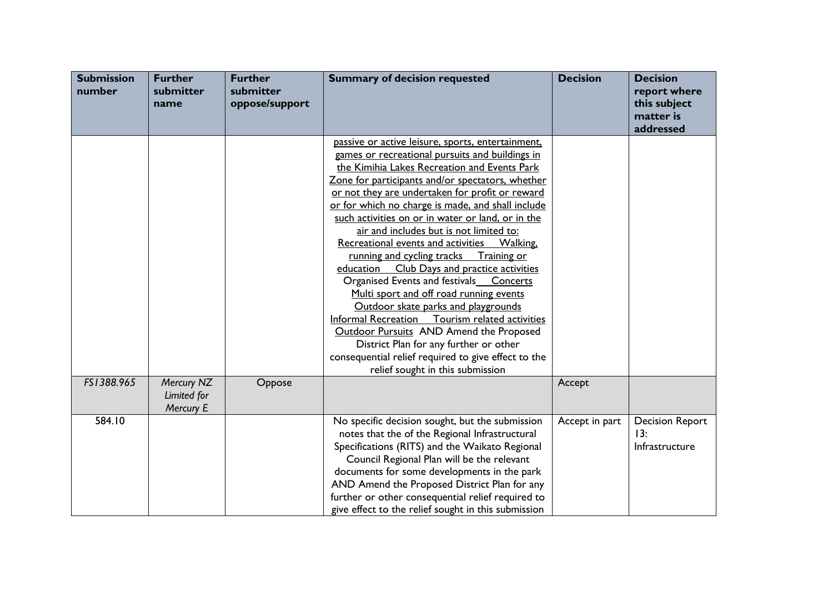| <b>Submission</b><br>number | <b>Further</b><br>submitter<br>name    | <b>Further</b><br>submitter<br>oppose/support | <b>Summary of decision requested</b>                                                                                                                                                                                                                                                                                                                                                                                                                                                                                                                                                                                                                                                                                                                                                                                                                                                            | <b>Decision</b> | <b>Decision</b><br>report where<br>this subject<br>matter is<br>addressed |
|-----------------------------|----------------------------------------|-----------------------------------------------|-------------------------------------------------------------------------------------------------------------------------------------------------------------------------------------------------------------------------------------------------------------------------------------------------------------------------------------------------------------------------------------------------------------------------------------------------------------------------------------------------------------------------------------------------------------------------------------------------------------------------------------------------------------------------------------------------------------------------------------------------------------------------------------------------------------------------------------------------------------------------------------------------|-----------------|---------------------------------------------------------------------------|
|                             |                                        |                                               | passive or active leisure, sports, entertainment,<br>games or recreational pursuits and buildings in<br>the Kimihia Lakes Recreation and Events Park<br>Zone for participants and/or spectators, whether<br>or not they are undertaken for profit or reward<br>or for which no charge is made, and shall include<br>such activities on or in water or land, or in the<br>air and includes but is not limited to:<br>Recreational events and activities  Walking,<br>running and cycling tracks Training or<br>Club Days and practice activities<br>education<br>Organised Events and festivals  Concerts<br>Multi sport and off road running events<br>Outdoor skate parks and playgrounds<br>Informal Recreation Tourism related activities<br><b>Outdoor Pursuits AND Amend the Proposed</b><br>District Plan for any further or other<br>consequential relief required to give effect to the |                 |                                                                           |
| FS1388.965                  | Mercury NZ<br>Limited for<br>Mercury E | Oppose                                        | relief sought in this submission                                                                                                                                                                                                                                                                                                                                                                                                                                                                                                                                                                                                                                                                                                                                                                                                                                                                | Accept          |                                                                           |
| 584.10                      |                                        |                                               | No specific decision sought, but the submission<br>notes that the of the Regional Infrastructural<br>Specifications (RITS) and the Waikato Regional<br>Council Regional Plan will be the relevant<br>documents for some developments in the park<br>AND Amend the Proposed District Plan for any<br>further or other consequential relief required to<br>give effect to the relief sought in this submission                                                                                                                                                                                                                                                                                                                                                                                                                                                                                    | Accept in part  | <b>Decision Report</b><br>13:<br>Infrastructure                           |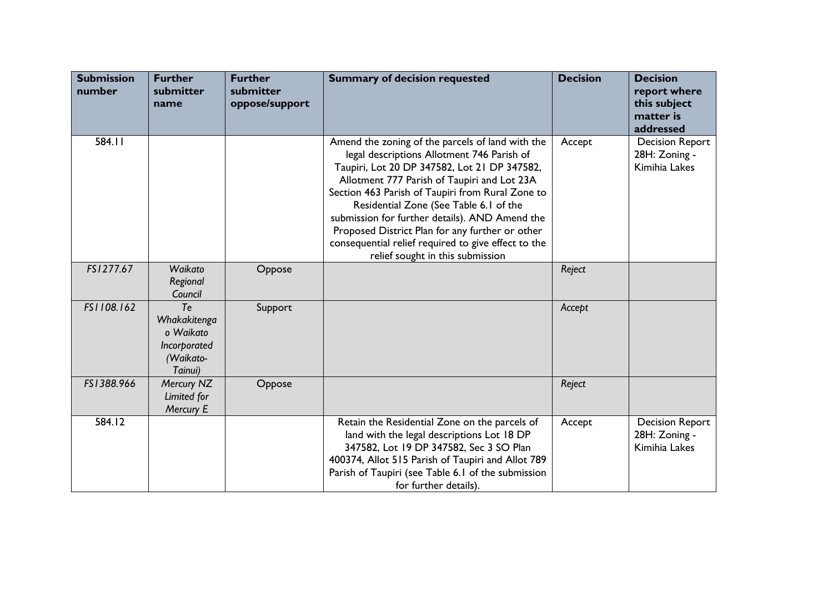| <b>Submission</b><br>number | <b>Further</b><br>submitter<br>name                                     | <b>Further</b><br>submitter<br>oppose/support | <b>Summary of decision requested</b>                                                                                                                                                                                                                                                                                                                                                                                                                                                        | <b>Decision</b> | <b>Decision</b><br>report where<br>this subject<br>matter is<br>addressed |
|-----------------------------|-------------------------------------------------------------------------|-----------------------------------------------|---------------------------------------------------------------------------------------------------------------------------------------------------------------------------------------------------------------------------------------------------------------------------------------------------------------------------------------------------------------------------------------------------------------------------------------------------------------------------------------------|-----------------|---------------------------------------------------------------------------|
| 584.11                      |                                                                         |                                               | Amend the zoning of the parcels of land with the<br>legal descriptions Allotment 746 Parish of<br>Taupiri, Lot 20 DP 347582, Lot 21 DP 347582,<br>Allotment 777 Parish of Taupiri and Lot 23A<br>Section 463 Parish of Taupiri from Rural Zone to<br>Residential Zone (See Table 6.1 of the<br>submission for further details). AND Amend the<br>Proposed District Plan for any further or other<br>consequential relief required to give effect to the<br>relief sought in this submission | Accept          | <b>Decision Report</b><br>28H: Zoning -<br>Kimihia Lakes                  |
| FS1277.67                   | Waikato<br>Regional<br>Council                                          | Oppose                                        |                                                                                                                                                                                                                                                                                                                                                                                                                                                                                             | Reject          |                                                                           |
| FS1108.162                  | Te<br>Whakakitenga<br>o Waikato<br>Incorporated<br>(Waikato-<br>Tainui) | Support                                       |                                                                                                                                                                                                                                                                                                                                                                                                                                                                                             | Accept          |                                                                           |
| FS1388.966                  | Mercury NZ<br>Limited for<br>Mercury E                                  | Oppose                                        |                                                                                                                                                                                                                                                                                                                                                                                                                                                                                             | Reject          |                                                                           |
| 584.12                      |                                                                         |                                               | Retain the Residential Zone on the parcels of<br>land with the legal descriptions Lot 18 DP<br>347582, Lot 19 DP 347582, Sec 3 SO Plan<br>400374, Allot 515 Parish of Taupiri and Allot 789<br>Parish of Taupiri (see Table 6.1 of the submission<br>for further details).                                                                                                                                                                                                                  | Accept          | <b>Decision Report</b><br>28H: Zoning -<br>Kimihia Lakes                  |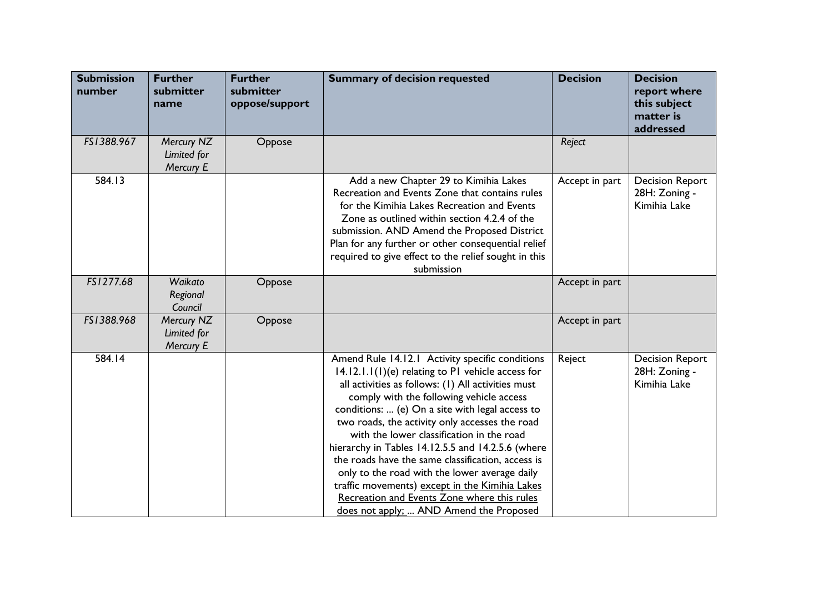| <b>Submission</b><br>number | <b>Further</b><br>submitter<br>name    | <b>Further</b><br>submitter<br>oppose/support | <b>Summary of decision requested</b>                                                                                                                                                                                                                                                                                                                                                                                                                                                                                                                                                                                                                              | <b>Decision</b> | <b>Decision</b><br>report where<br>this subject<br>matter is<br>addressed |
|-----------------------------|----------------------------------------|-----------------------------------------------|-------------------------------------------------------------------------------------------------------------------------------------------------------------------------------------------------------------------------------------------------------------------------------------------------------------------------------------------------------------------------------------------------------------------------------------------------------------------------------------------------------------------------------------------------------------------------------------------------------------------------------------------------------------------|-----------------|---------------------------------------------------------------------------|
| FS1388.967                  | Mercury NZ<br>Limited for<br>Mercury E | Oppose                                        |                                                                                                                                                                                                                                                                                                                                                                                                                                                                                                                                                                                                                                                                   | Reject          |                                                                           |
| 584.13                      |                                        |                                               | Add a new Chapter 29 to Kimihia Lakes<br>Recreation and Events Zone that contains rules<br>for the Kimihia Lakes Recreation and Events<br>Zone as outlined within section 4.2.4 of the<br>submission. AND Amend the Proposed District<br>Plan for any further or other consequential relief<br>required to give effect to the relief sought in this<br>submission                                                                                                                                                                                                                                                                                                 | Accept in part  | <b>Decision Report</b><br>28H: Zoning -<br>Kimihia Lake                   |
| FS1277.68                   | Waikato<br>Regional<br>Council         | Oppose                                        |                                                                                                                                                                                                                                                                                                                                                                                                                                                                                                                                                                                                                                                                   | Accept in part  |                                                                           |
| FS1388.968                  | Mercury NZ<br>Limited for<br>Mercury E | Oppose                                        |                                                                                                                                                                                                                                                                                                                                                                                                                                                                                                                                                                                                                                                                   | Accept in part  |                                                                           |
| 584.14                      |                                        |                                               | Amend Rule 14.12.1 Activity specific conditions<br>$14.12.1.1(1)(e)$ relating to P1 vehicle access for<br>all activities as follows: (1) All activities must<br>comply with the following vehicle access<br>conditions:  (e) On a site with legal access to<br>two roads, the activity only accesses the road<br>with the lower classification in the road<br>hierarchy in Tables 14.12.5.5 and 14.2.5.6 (where<br>the roads have the same classification, access is<br>only to the road with the lower average daily<br>traffic movements) except in the Kimihia Lakes<br>Recreation and Events Zone where this rules<br>does not apply;  AND Amend the Proposed | Reject          | <b>Decision Report</b><br>28H: Zoning -<br>Kimihia Lake                   |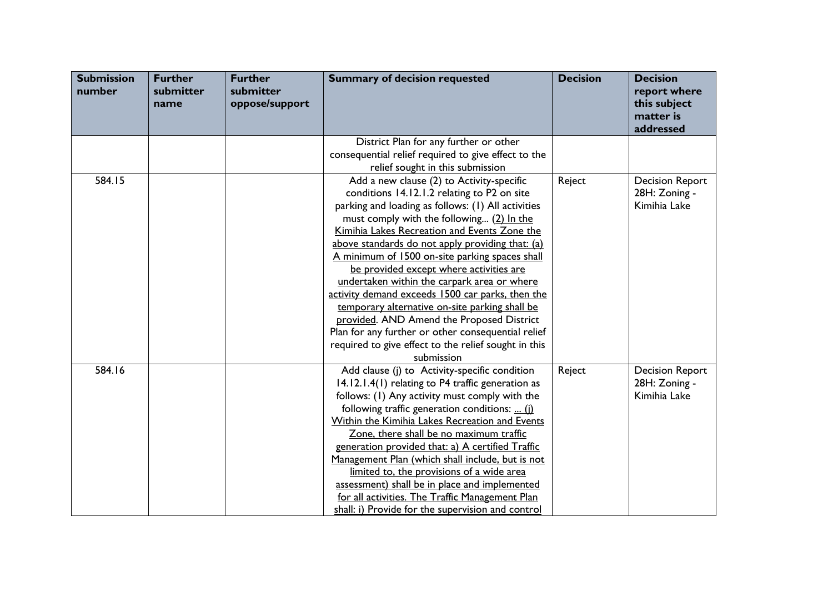| <b>Submission</b><br>number | <b>Further</b><br>submitter<br>name | <b>Further</b><br>submitter<br>oppose/support | <b>Summary of decision requested</b>                                                                                                                                                                                                                                                                                                                                                                                                                                                                                                                                                                                                                                                                                       | <b>Decision</b> | <b>Decision</b><br>report where<br>this subject<br>matter is<br>addressed |
|-----------------------------|-------------------------------------|-----------------------------------------------|----------------------------------------------------------------------------------------------------------------------------------------------------------------------------------------------------------------------------------------------------------------------------------------------------------------------------------------------------------------------------------------------------------------------------------------------------------------------------------------------------------------------------------------------------------------------------------------------------------------------------------------------------------------------------------------------------------------------------|-----------------|---------------------------------------------------------------------------|
|                             |                                     |                                               | District Plan for any further or other                                                                                                                                                                                                                                                                                                                                                                                                                                                                                                                                                                                                                                                                                     |                 |                                                                           |
|                             |                                     |                                               | consequential relief required to give effect to the<br>relief sought in this submission                                                                                                                                                                                                                                                                                                                                                                                                                                                                                                                                                                                                                                    |                 |                                                                           |
| 584.15                      |                                     |                                               | Add a new clause (2) to Activity-specific<br>conditions 14.12.1.2 relating to P2 on site<br>parking and loading as follows: (1) All activities<br>must comply with the following (2) In the<br>Kimihia Lakes Recreation and Events Zone the<br>above standards do not apply providing that: (a)<br>A minimum of 1500 on-site parking spaces shall<br>be provided except where activities are<br>undertaken within the carpark area or where<br>activity demand exceeds 1500 car parks, then the<br>temporary alternative on-site parking shall be<br>provided. AND Amend the Proposed District<br>Plan for any further or other consequential relief<br>required to give effect to the relief sought in this<br>submission | Reject          | <b>Decision Report</b><br>28H: Zoning -<br>Kimihia Lake                   |
| 584.16                      |                                     |                                               | Add clause (j) to Activity-specific condition<br>14.12.1.4(1) relating to P4 traffic generation as<br>follows: (1) Any activity must comply with the<br>following traffic generation conditions:  (i)<br>Within the Kimihia Lakes Recreation and Events<br>Zone, there shall be no maximum traffic<br>generation provided that: a) A certified Traffic<br>Management Plan (which shall include, but is not<br>limited to, the provisions of a wide area<br>assessment) shall be in place and implemented<br>for all activities. The Traffic Management Plan<br>shall: i) Provide for the supervision and control                                                                                                           | Reject          | <b>Decision Report</b><br>28H: Zoning -<br>Kimihia Lake                   |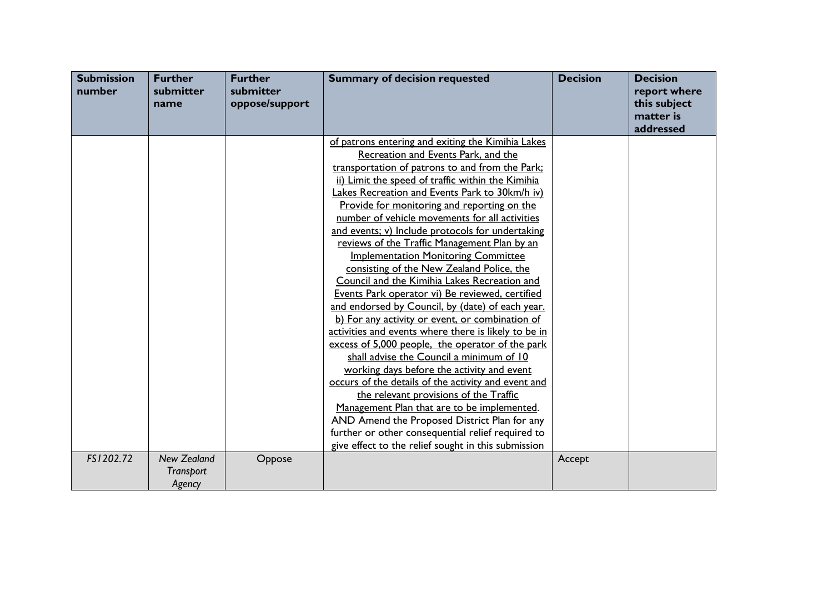| <b>Submission</b><br>number | <b>Further</b><br>submitter<br>name | <b>Further</b><br>submitter<br>oppose/support | <b>Summary of decision requested</b>                 | <b>Decision</b> | <b>Decision</b><br>report where<br>this subject<br>matter is |
|-----------------------------|-------------------------------------|-----------------------------------------------|------------------------------------------------------|-----------------|--------------------------------------------------------------|
|                             |                                     |                                               |                                                      |                 | addressed                                                    |
|                             |                                     |                                               | of patrons entering and exiting the Kimihia Lakes    |                 |                                                              |
|                             |                                     |                                               | Recreation and Events Park, and the                  |                 |                                                              |
|                             |                                     |                                               | transportation of patrons to and from the Park;      |                 |                                                              |
|                             |                                     |                                               | ii) Limit the speed of traffic within the Kimihia    |                 |                                                              |
|                             |                                     |                                               | Lakes Recreation and Events Park to 30km/h iv)       |                 |                                                              |
|                             |                                     |                                               | Provide for monitoring and reporting on the          |                 |                                                              |
|                             |                                     |                                               | number of vehicle movements for all activities       |                 |                                                              |
|                             |                                     |                                               | and events; v) Include protocols for undertaking     |                 |                                                              |
|                             |                                     |                                               | reviews of the Traffic Management Plan by an         |                 |                                                              |
|                             |                                     |                                               | <b>Implementation Monitoring Committee</b>           |                 |                                                              |
|                             |                                     |                                               | consisting of the New Zealand Police, the            |                 |                                                              |
|                             |                                     |                                               | Council and the Kimihia Lakes Recreation and         |                 |                                                              |
|                             |                                     |                                               | Events Park operator vi) Be reviewed, certified      |                 |                                                              |
|                             |                                     |                                               | and endorsed by Council, by (date) of each year.     |                 |                                                              |
|                             |                                     |                                               | b) For any activity or event, or combination of      |                 |                                                              |
|                             |                                     |                                               | activities and events where there is likely to be in |                 |                                                              |
|                             |                                     |                                               | excess of 5,000 people, the operator of the park     |                 |                                                              |
|                             |                                     |                                               | shall advise the Council a minimum of 10             |                 |                                                              |
|                             |                                     |                                               | working days before the activity and event           |                 |                                                              |
|                             |                                     |                                               | occurs of the details of the activity and event and  |                 |                                                              |
|                             |                                     |                                               | the relevant provisions of the Traffic               |                 |                                                              |
|                             |                                     |                                               | Management Plan that are to be implemented.          |                 |                                                              |
|                             |                                     |                                               | AND Amend the Proposed District Plan for any         |                 |                                                              |
|                             |                                     |                                               | further or other consequential relief required to    |                 |                                                              |
|                             |                                     |                                               | give effect to the relief sought in this submission  |                 |                                                              |
| FS1202.72                   | <b>New Zealand</b>                  | Oppose                                        |                                                      | Accept          |                                                              |
|                             | <b>Transport</b>                    |                                               |                                                      |                 |                                                              |
|                             | Agency                              |                                               |                                                      |                 |                                                              |